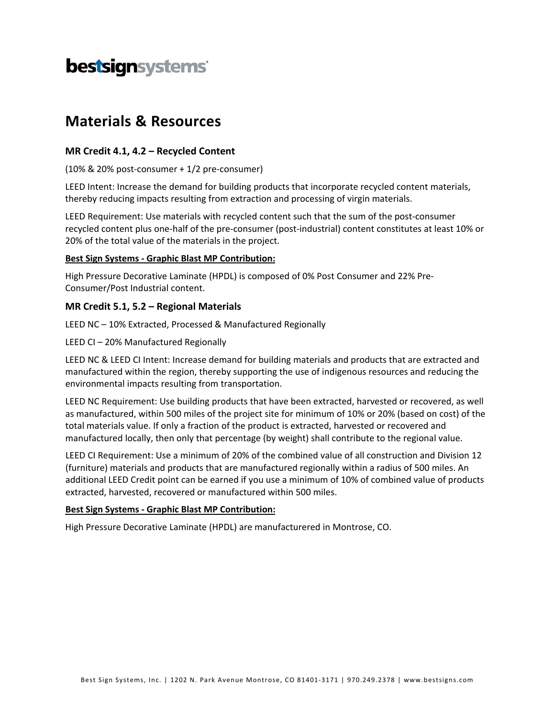# bestsignsystems

## **Materials & Resources**

### **MR Credit 4.1, 4.2 – Recycled Content**

(10% & 20% post‐consumer + 1/2 pre‐consumer)

LEED Intent: Increase the demand for building products that incorporate recycled content materials, thereby reducing impacts resulting from extraction and processing of virgin materials.

LEED Requirement: Use materials with recycled content such that the sum of the post-consumer recycled content plus one‐half of the pre‐consumer (post‐industrial) content constitutes at least 10% or 20% of the total value of the materials in the project.

#### **Best Sign Systems ‐ Graphic Blast MP Contribution:**

High Pressure Decorative Laminate (HPDL) is composed of 0% Post Consumer and 22% Pre‐ Consumer/Post Industrial content.

### **MR Credit 5.1, 5.2 – Regional Materials**

LEED NC – 10% Extracted, Processed & Manufactured Regionally

LEED CI – 20% Manufactured Regionally

LEED NC & LEED CI Intent: Increase demand for building materials and products that are extracted and manufactured within the region, thereby supporting the use of indigenous resources and reducing the environmental impacts resulting from transportation.

LEED NC Requirement: Use building products that have been extracted, harvested or recovered, as well as manufactured, within 500 miles of the project site for minimum of 10% or 20% (based on cost) of the total materials value. If only a fraction of the product is extracted, harvested or recovered and manufactured locally, then only that percentage (by weight) shall contribute to the regional value.

LEED CI Requirement: Use a minimum of 20% of the combined value of all construction and Division 12 (furniture) materials and products that are manufactured regionally within a radius of 500 miles. An additional LEED Credit point can be earned if you use a minimum of 10% of combined value of products extracted, harvested, recovered or manufactured within 500 miles.

#### **Best Sign Systems ‐ Graphic Blast MP Contribution:**

High Pressure Decorative Laminate (HPDL) are manufacturered in Montrose, CO.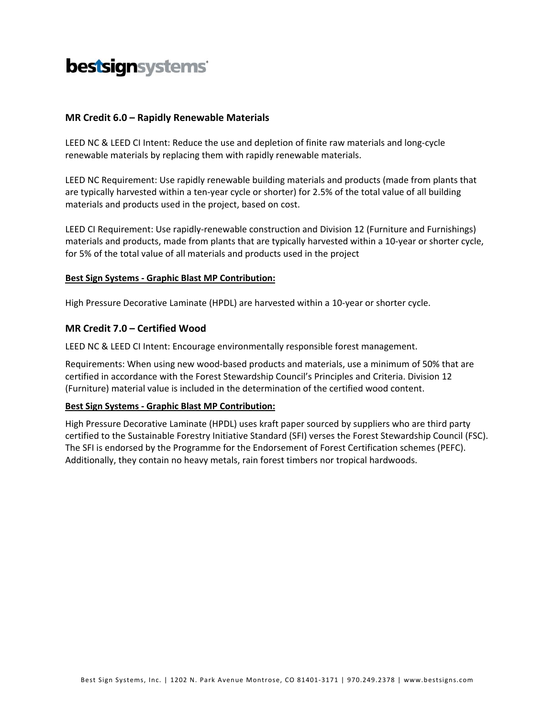# bestsignsystems

#### **MR Credit 6.0 – Rapidly Renewable Materials**

LEED NC & LEED CI Intent: Reduce the use and depletion of finite raw materials and long‐cycle renewable materials by replacing them with rapidly renewable materials.

LEED NC Requirement: Use rapidly renewable building materials and products (made from plants that are typically harvested within a ten-year cycle or shorter) for 2.5% of the total value of all building materials and products used in the project, based on cost.

LEED CI Requirement: Use rapidly-renewable construction and Division 12 (Furniture and Furnishings) materials and products, made from plants that are typically harvested within a 10‐year or shorter cycle, for 5% of the total value of all materials and products used in the project

#### **Best Sign Systems ‐ Graphic Blast MP Contribution:**

High Pressure Decorative Laminate (HPDL) are harvested within a 10‐year or shorter cycle.

#### **MR Credit 7.0 – Certified Wood**

LEED NC & LEED CI Intent: Encourage environmentally responsible forest management.

Requirements: When using new wood‐based products and materials, use a minimum of 50% that are certified in accordance with the Forest Stewardship Council's Principles and Criteria. Division 12 (Furniture) material value is included in the determination of the certified wood content.

#### **Best Sign Systems ‐ Graphic Blast MP Contribution:**

High Pressure Decorative Laminate (HPDL) uses kraft paper sourced by suppliers who are third party certified to the Sustainable Forestry Initiative Standard (SFI) verses the Forest Stewardship Council (FSC). The SFI is endorsed by the Programme for the Endorsement of Forest Certification schemes (PEFC). Additionally, they contain no heavy metals, rain forest timbers nor tropical hardwoods.